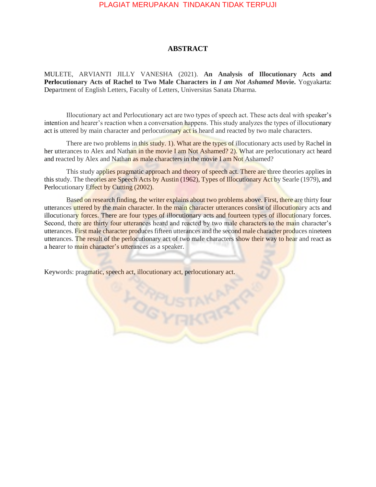## PLAGIAT MERUPAKAN TINDAKAN TIDAK TERPUJI

## **ABSTRACT**

MULETE, ARVIANTI JILLY VANESHA (2021). **An Analysis of Illocutionary Acts and Perlocutionary Acts of Rachel to Two Male Characters in** *I am Not Ashamed* **Movie.** Yogyakarta: Department of English Letters, Faculty of Letters, Universitas Sanata Dharma.

Illocutionary act and Perlocutionary act are two types of speech act. These acts deal with speaker's intention and hearer's reaction when a conversation happens. This study analyzes the types of illocutionary act is uttered by main character and perlocutionary act is heard and reacted by two male characters.

There are two problems in this study. 1). What are the types of illocutionary acts used by Rachel in her utterances to Alex and Nathan in the movie I am Not Ashamed? 2). What are perlocutionary act heard and reacted by Alex and Nathan as male characters in the movie I am Not Ashamed?

This study applies pragmatic approach and theory of speech act. There are three theories applies in this study. The theories are Speech Acts by Austin (1962), Types of Illocutionary Act by Searle (1979), and Perlocutionary Effect by Cutting (2002).

Based on research finding, the writer explains about two problems above. First, there are thirty four utterances uttered by the main character. In the main character utterances consist of illocutionary acts and illocutionary forces. There are four types of illocutionary acts and fourteen types of illocutionary forces. Second, there are thirty four utterances heard and reacted by two male characters to the main character's utterances. First male character produces fifteen utterances and the second male character produces nineteen utterances. The result of the perlocutionary act of two male characters show their way to hear and react as a hearer to main character's utterances as a speaker.

Keywords: pragmatic, speech act, illocutionary act, perlocutionary act.